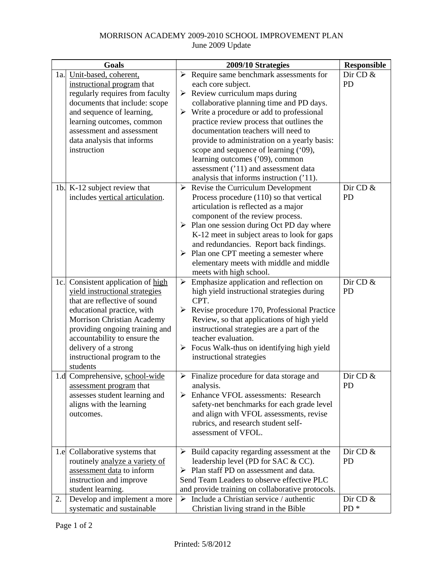## MORRISON ACADEMY 2009-2010 SCHOOL IMPROVEMENT PLAN June 2009 Update

| Goals |                                                                | 2009/10 Strategies                                           | <b>Responsible</b> |
|-------|----------------------------------------------------------------|--------------------------------------------------------------|--------------------|
| 1a.   | Unit-based, coherent,                                          | $\triangleright$ Require same benchmark assessments for      | Dir CD &           |
|       | instructional program that                                     | each core subject.                                           | <b>PD</b>          |
|       | regularly requires from faculty                                | $\triangleright$ Review curriculum maps during               |                    |
|       | documents that include: scope                                  | collaborative planning time and PD days.                     |                    |
|       | and sequence of learning,                                      | $\triangleright$ Write a procedure or add to professional    |                    |
|       | learning outcomes, common                                      | practice review process that outlines the                    |                    |
|       | assessment and assessment                                      | documentation teachers will need to                          |                    |
|       | data analysis that informs                                     | provide to administration on a yearly basis:                 |                    |
|       | instruction                                                    | scope and sequence of learning ('09),                        |                    |
|       |                                                                | learning outcomes ('09), common                              |                    |
|       |                                                                | assessment ('11) and assessment data                         |                    |
|       |                                                                | analysis that informs instruction ('11).                     |                    |
|       | 1b. K-12 subject review that                                   | $\triangleright$ Revise the Curriculum Development           | Dir CD &           |
|       | includes vertical articulation.                                | Process procedure (110) so that vertical                     | <b>PD</b>          |
|       |                                                                | articulation is reflected as a major                         |                    |
|       |                                                                | component of the review process.                             |                    |
|       |                                                                | $\triangleright$ Plan one session during Oct PD day where    |                    |
|       |                                                                | K-12 meet in subject areas to look for gaps                  |                    |
|       |                                                                | and redundancies. Report back findings.                      |                    |
|       |                                                                | $\triangleright$ Plan one CPT meeting a semester where       |                    |
|       |                                                                | elementary meets with middle and middle                      |                    |
|       |                                                                | meets with high school.                                      |                    |
| 1c.   | Consistent application of high                                 | $\triangleright$ Emphasize application and reflection on     | Dir CD &           |
|       | yield instructional strategies<br>that are reflective of sound | high yield instructional strategies during<br>CPT.           | <b>PD</b>          |
|       | educational practice, with                                     | $\triangleright$ Revise procedure 170, Professional Practice |                    |
|       | <b>Morrison Christian Academy</b>                              | Review, so that applications of high yield                   |                    |
|       | providing ongoing training and                                 | instructional strategies are a part of the                   |                    |
|       | accountability to ensure the                                   | teacher evaluation.                                          |                    |
|       | delivery of a strong                                           | $\triangleright$ Focus Walk-thus on identifying high yield   |                    |
|       | instructional program to the                                   | instructional strategies                                     |                    |
|       | students                                                       |                                                              |                    |
|       | 1.d Comprehensive, school-wide                                 | $\triangleright$ Finalize procedure for data storage and     | Dir CD &           |
|       | assessment program that                                        | analysis.                                                    | <b>PD</b>          |
|       | assesses student learning and                                  | $\triangleright$ Enhance VFOL assessments: Research          |                    |
|       | aligns with the learning                                       | safety-net benchmarks for each grade level                   |                    |
|       | outcomes.                                                      | and align with VFOL assessments, revise                      |                    |
|       |                                                                | rubrics, and research student self-                          |                    |
|       |                                                                | assessment of VFOL.                                          |                    |
|       |                                                                |                                                              |                    |
|       | 1.e Collaborative systems that                                 | $\triangleright$ Build capacity regarding assessment at the  | Dir CD $&$         |
|       | routinely analyze a variety of                                 | leadership level (PD for SAC & CC).                          | <b>PD</b>          |
|       | assessment data to inform                                      | $\triangleright$ Plan staff PD on assessment and data.       |                    |
|       | instruction and improve                                        | Send Team Leaders to observe effective PLC                   |                    |
|       | student learning.                                              | and provide training on collaborative protocols.             |                    |
| 2.    | Develop and implement a more<br>systematic and sustainable     | $\triangleright$ Include a Christian service / authentic     | Dir CD &<br>$PD*$  |
|       |                                                                | Christian living strand in the Bible                         |                    |